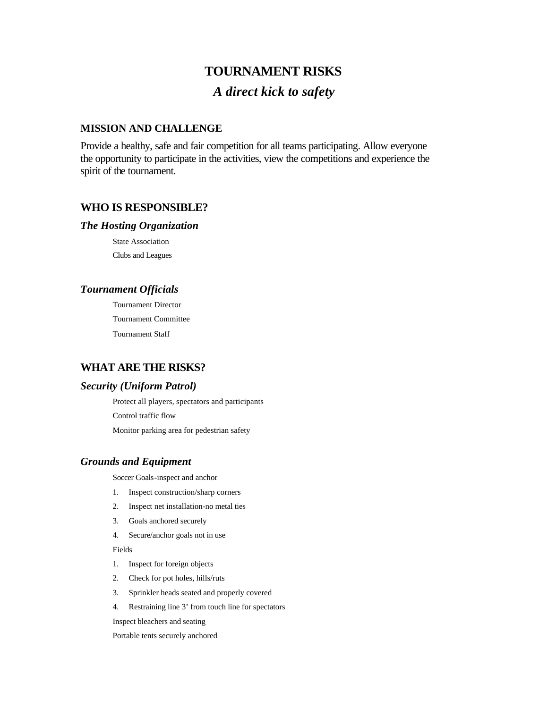# **TOURNAMENT RISKS** *A direct kick to safety*

## **MISSION AND CHALLENGE**

Provide a healthy, safe and fair competition for all teams participating. Allow everyone the opportunity to participate in the activities, view the competitions and experience the spirit of the tournament.

### **WHO IS RESPONSIBLE?**

#### *The Hosting Organization*

State Association Clubs and Leagues

### *Tournament Officials*

Tournament Director Tournament Committee Tournament Staff

## **WHAT ARE THE RISKS?**

### *Security (Uniform Patrol)*

Protect all players, spectators and participants Control traffic flow Monitor parking area for pedestrian safety

### *Grounds and Equipment*

Soccer Goals-inspect and anchor

- 1. Inspect construction/sharp corners
- 2. Inspect net installation-no metal ties
- 3. Goals anchored securely
- 4. Secure/anchor goals not in use

Fields

- 1. Inspect for foreign objects
- 2. Check for pot holes, hills/ruts
- 3. Sprinkler heads seated and properly covered
- 4. Restraining line 3' from touch line for spectators

Inspect bleachers and seating

Portable tents securely anchored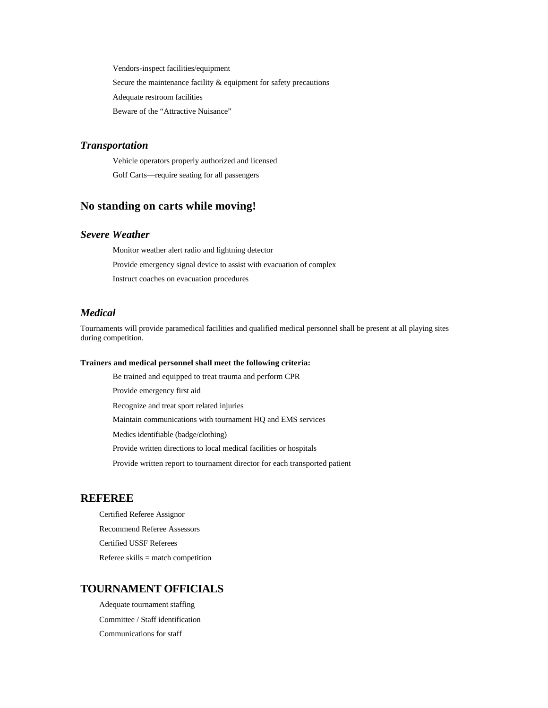Vendors-inspect facilities/equipment Secure the maintenance facility & equipment for safety precautions Adequate restroom facilities Beware of the "Attractive Nuisance"

#### *Transportation*

Vehicle operators properly authorized and licensed Golf Carts—require seating for all passengers

# **No standing on carts while moving!**

#### *Severe Weather*

Monitor weather alert radio and lightning detector Provide emergency signal device to assist with evacuation of complex Instruct coaches on evacuation procedures

#### *Medical*

Tournaments will provide paramedical facilities and qualified medical personnel shall be present at all playing sites during competition.

#### **Trainers and medical personnel shall meet the following criteria:**

Be trained and equipped to treat trauma and perform CPR

Provide emergency first aid

Recognize and treat sport related injuries

Maintain communications with tournament HQ and EMS services

Medics identifiable (badge/clothing)

Provide written directions to local medical facilities or hospitals

Provide written report to tournament director for each transported patient

### **REFEREE**

Certified Referee Assignor Recommend Referee Assessors Certified USSF Referees Referee skills = match competition

### **TOURNAMENT OFFICIALS**

Adequate tournament staffing Committee / Staff identification Communications for staff